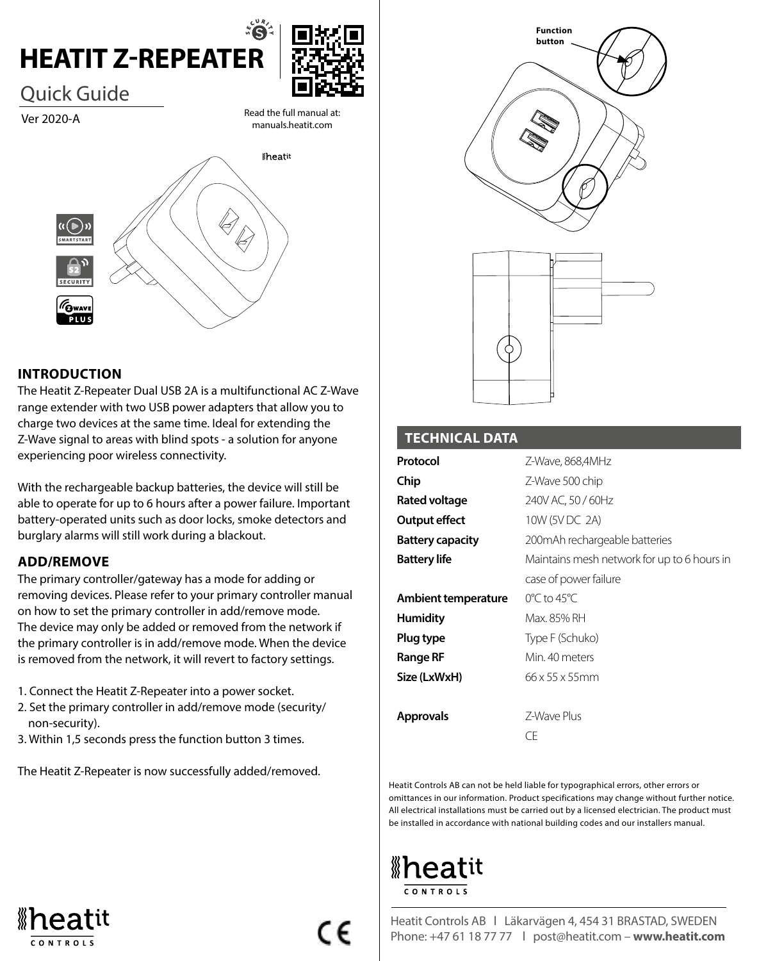# **HEATIT Z-REPEATER**



# Quick Guide

Ver 2020-A

Read the full manual at: manuals.heatit.com



### **INTRODUCTION**

The Heatit Z-Repeater Dual USB 2A is a multifunctional AC Z-Wave range extender with two USB power adapters that allow you to charge two devices at the same time. Ideal for extending the Z-Wave signal to areas with blind spots - a solution for anyone experiencing poor wireless connectivity.

With the rechargeable backup batteries, the device will still be able to operate for up to 6 hours after a power failure. Important battery-operated units such as door locks, smoke detectors and burglary alarms will still work during a blackout.

### **ADD/REMOVE**

The primary controller/gateway has a mode for adding or removing devices. Please refer to your primary controller manual on how to set the primary controller in add/remove mode. The device may only be added or removed from the network if the primary controller is in add/remove mode. When the device is removed from the network, it will revert to factory settings.

- 1. Connect the Heatit Z-Repeater into a power socket.
- 2. Set the primary controller in add/remove mode (security/ non-security).
- 3. Within 1,5 seconds press the function button 3 times.

The Heatit Z-Repeater is now successfully added/removed.



## **TECHNICAL DATA**

| Protocol                | Z-Wave, 868,4MHz                            |
|-------------------------|---------------------------------------------|
| Chip                    | Z-Wave 500 chip                             |
| Rated voltage           | 240V AC, 50 / 60Hz                          |
| Output effect           | 10W (5V DC 2A)                              |
| <b>Battery capacity</b> | 200mAh rechargeable batteries               |
| <b>Battery life</b>     | Maintains mesh network for up to 6 hours in |
|                         | case of power failure                       |
| Ambient temperature     | 0°C to 45°C                                 |
| Humidity                | Max. 85% RH                                 |
| Plug type               | Type F (Schuko)                             |
| <b>Range RF</b>         | Min. 40 meters                              |
| Size (LxWxH)            | 66 x 55 x 55mm                              |
|                         |                                             |
| <b>Approvals</b>        | 7-Wave Plus                                 |
|                         | CF                                          |

Heatit Controls AB can not be held liable for typographical errors, other errors or omittances in our information. Product specifications may change without further notice. All electrical installations must be carried out by a licensed electrician. The product must be installed in accordance with national building codes and our installers manual.



Heatit Controls AB l Läkarvägen 4, 454 31 BRASTAD, SWEDEN Phone: +47 61 18 77 77 l post@heatit.com – **www.heatit.com**